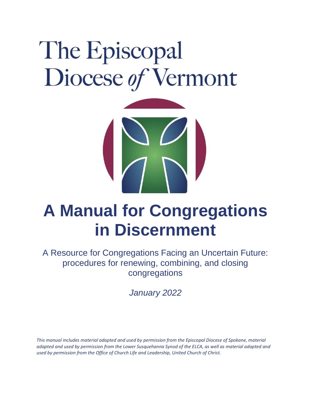# The Episcopal Diocese of Vermont



# **A Manual for Congregations in Discernment**

A Resource for Congregations Facing an Uncertain Future: procedures for renewing, combining, and closing congregations

*January 2022*

*This manual includes material adapted and used by permission from the Episcopal Diocese of Spokane, material adapted and used by permission from the Lower Susquehanna Synod of the ELCA, as well as material adapted and used by permission from the Office of Church Life and Leadership, United Church of Christ.*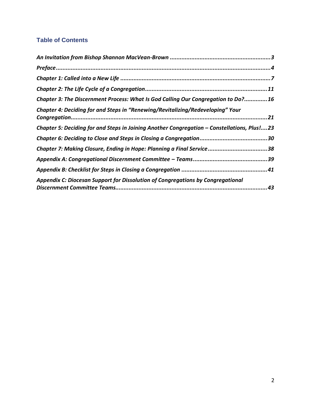#### **Table of Contents**

| Chapter 3: The Discernment Process: What Is God Calling Our Congregation to Do?16           |
|---------------------------------------------------------------------------------------------|
| Chapter 4: Deciding for and Steps in "Renewing/Revitalizing/Redeveloping" Your              |
| Chapter 5: Deciding for and Steps in Joining Another Congregation - Constellations, Plus!23 |
|                                                                                             |
| Chapter 7: Making Closure, Ending in Hope: Planning a Final Service38                       |
|                                                                                             |
|                                                                                             |
| Appendix C: Diocesan Support for Dissolution of Congregations by Congregational             |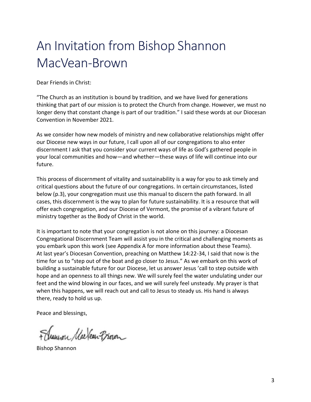# An Invitation from Bishop Shannon MacVean-Brown

Dear Friends in Christ:

"The Church as an institution is bound by tradition, and we have lived for generations thinking that part of our mission is to protect the Church from change. However, we must no longer deny that constant change is part of our tradition." I said these words at our Diocesan Convention in November 2021.

As we consider how new models of ministry and new collaborative relationships might offer our Diocese new ways in our future, I call upon all of our congregations to also enter discernment I ask that you consider your current ways of life as God's gathered people in your local communities and how—and whether—these ways of life will continue into our future.

This process of discernment of vitality and sustainability is a way for you to ask timely and critical questions about the future of our congregations. In certain circumstances, listed below (p.3), your congregation must use this manual to discern the path forward. In all cases, this discernment is the way to plan for future sustainability. It is a resource that will offer each congregation, and our Diocese of Vermont, the promise of a vibrant future of ministry together as the Body of Christ in the world.

It is important to note that your congregation is not alone on this journey: a Diocesan Congregational Discernment Team will assist you in the critical and challenging moments as you embark upon this work (see Appendix A for more information about these Teams). At last year's Diocesan Convention, preaching on Matthew 14:22-34, I said that now is the time for us to "step out of the boat and go closer to Jesus." As we embark on this work of building a sustainable future for our Diocese, let us answer Jesus 'call to step outside with hope and an openness to all things new. We will surely feel the water undulating under our feet and the wind blowing in our faces, and we will surely feel unsteady. My prayer is that when this happens, we will reach out and call to Jesus to steady us. His hand is always there, ready to hold us up.

Peace and blessings,

F dramon Mackean Provon

Bishop Shannon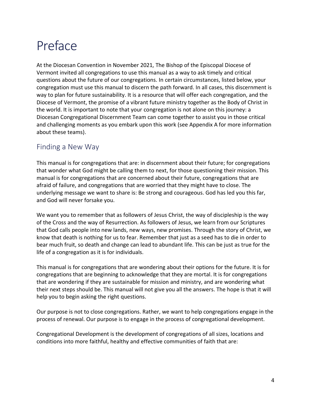# Preface

At the Diocesan Convention in November 2021, The Bishop of the Episcopal Diocese of Vermont invited all congregations to use this manual as a way to ask timely and critical questions about the future of our congregations. In certain circumstances, listed below, your congregation must use this manual to discern the path forward. In all cases, this discernment is way to plan for future sustainability. It is a resource that will offer each congregation, and the Diocese of Vermont, the promise of a vibrant future ministry together as the Body of Christ in the world. It is important to note that your congregation is not alone on this journey: a Diocesan Congregational Discernment Team can come together to assist you in those critical and challenging moments as you embark upon this work (see Appendix A for more information about these teams).

#### Finding a New Way

This manual is for congregations that are: in discernment about their future; for congregations that wonder what God might be calling them to next, for those questioning their mission. This manual is for congregations that are concerned about their future, congregations that are afraid of failure, and congregations that are worried that they might have to close. The underlying message we want to share is: Be strong and courageous. God has led you this far, and God will never forsake you.

We want you to remember that as followers of Jesus Christ, the way of discipleship is the way of the Cross and the way of Resurrection. As followers of Jesus, we learn from our Scriptures that God calls people into new lands, new ways, new promises. Through the story of Christ, we know that death is nothing for us to fear. Remember that just as a seed has to die in order to bear much fruit, so death and change can lead to abundant life. This can be just as true for the life of a congregation as it is for individuals.

This manual is for congregations that are wondering about their options for the future. It is for congregations that are beginning to acknowledge that they are mortal. It is for congregations that are wondering if they are sustainable for mission and ministry, and are wondering what their next steps should be. This manual will not give you all the answers. The hope is that it will help you to begin asking the right questions.

Our purpose is not to close congregations. Rather, we want to help congregations engage in the process of renewal. Our purpose is to engage in the process of congregational development.

Congregational Development is the development of congregations of all sizes, locations and conditions into more faithful, healthy and effective communities of faith that are: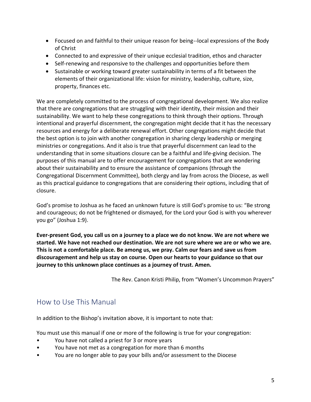- Focused on and faithful to their unique reason for being--local expressions of the Body of Christ
- Connected to and expressive of their unique ecclesial tradition, ethos and character
- Self-renewing and responsive to the challenges and opportunities before them
- Sustainable or working toward greater sustainability in terms of a fit between the elements of their organizational life: vision for ministry, leadership, culture, size, property, finances etc.

We are completely committed to the process of congregational development. We also realize that there are congregations that are struggling with their identity, their mission and their sustainability. We want to help these congregations to think through their options. Through intentional and prayerful discernment, the congregation might decide that it has the necessary resources and energy for a deliberate renewal effort. Other congregations might decide that the best option is to join with another congregation in sharing clergy leadership or merging ministries or congregations. And it also is true that prayerful discernment can lead to the understanding that in some situations closure can be a faithful and life-giving decision. The purposes of this manual are to offer encouragement for congregations that are wondering about their sustainability and to ensure the assistance of companions (through the Congregational Discernment Committee), both clergy and lay from across the Diocese, as well as this practical guidance to congregations that are considering their options, including that of closure.

God's promise to Joshua as he faced an unknown future is still God's promise to us: "Be strong and courageous; do not be frightened or dismayed, for the Lord your God is with you wherever you go" (Joshua 1:9).

**Ever-present God, you call us on a journey to a place we do not know. We are not where we started. We have not reached our destination. We are not sure where we are or who we are. This is not a comfortable place. Be among us, we pray. Calm our fears and save us from discouragement and help us stay on course. Open our hearts to your guidance so that our journey to this unknown place continues as a journey of trust. Amen.**

The Rev. Canon Kristi Philip, from "Women's Uncommon Prayers"

### How to Use This Manual

In addition to the Bishop's invitation above, it is important to note that:

You must use this manual if one or more of the following is true for your congregation:

- You have not called a priest for 3 or more years
- You have not met as a congregation for more than 6 months
- You are no longer able to pay your bills and/or assessment to the Diocese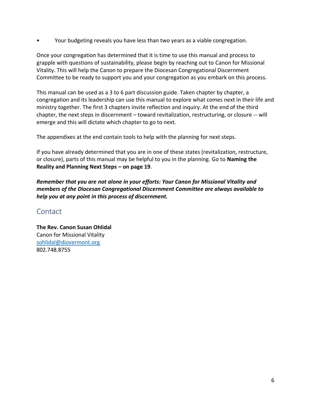• Your budgeting reveals you have less than two years as a viable congregation.

Once your congregation has determined that it is time to use this manual and process to grapple with questions of sustainability, please begin by reaching out to Canon for Missional Vitality. This will help the Canon to prepare the Diocesan Congregational Discernment Committee to be ready to support you and your congregation as you embark on this process.

This manual can be used as a 3 to 6 part discussion guide. Taken chapter by chapter, a congregation and its leadership can use this manual to explore what comes next in their life and ministry together. The first 3 chapters invite reflection and inquiry. At the end of the third chapter, the next steps in discernment – toward revitalization, restructuring, or closure -- will emerge and this will dictate which chapter to go to next.

The appendixes at the end contain tools to help with the planning for next steps.

If you have already determined that you are in one of these states (revitalization, restructure, or closure), parts of this manual may be helpful to you in the planning. Go to **Naming the Reality and Planning Next Steps – on page 19**.

*Remember that you are not alone in your efforts: Your Canon for Missional Vitality and members of the Diocesan Congregational Discernment Committee are always available to help you at any point in this process of discernment.*

#### **Contact**

**The Rev. Canon Susan Ohlidal** Canon for Missional Vitality [sohlidal@diovermont.org](mailto:sohlidal@diovermont.org) 802.748.8755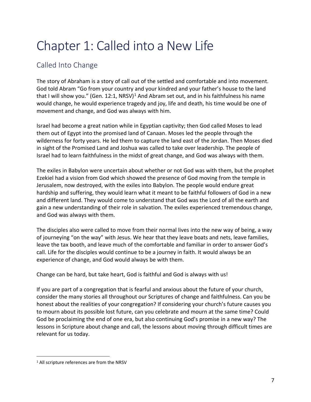# Chapter 1: Called into a New Life

# Called Into Change

The story of Abraham is a story of call out of the settled and comfortable and into movement. God told Abram "Go from your country and your kindred and your father's house to the land that I will show you." (Gen. 12:1, NRSV)<sup>1</sup> And Abram set out, and in his faithfulness his name would change, he would experience tragedy and joy, life and death, his time would be one of movement and change, and God was always with him.

Israel had become a great nation while in Egyptian captivity; then God called Moses to lead them out of Egypt into the promised land of Canaan. Moses led the people through the wilderness for forty years. He led them to capture the land east of the Jordan. Then Moses died in sight of the Promised Land and Joshua was called to take over leadership. The people of Israel had to learn faithfulness in the midst of great change, and God was always with them.

The exiles in Babylon were uncertain about whether or not God was with them, but the prophet Ezekiel had a vision from God which showed the presence of God moving from the temple in Jerusalem, now destroyed, with the exiles into Babylon. The people would endure great hardship and suffering, they would learn what it meant to be faithful followers of God in a new and different land. They would come to understand that God was the Lord of all the earth and gain a new understanding of their role in salvation. The exiles experienced tremendous change, and God was always with them.

The disciples also were called to move from their normal lives into the new way of being, a way of journeying "on the way" with Jesus. We hear that they leave boats and nets, leave families, leave the tax booth, and leave much of the comfortable and familiar in order to answer God's call. Life for the disciples would continue to be a journey in faith. It would always be an experience of change, and God would always be with them.

Change can be hard, but take heart, God is faithful and God is always with us!

If you are part of a congregation that is fearful and anxious about the future of your church, consider the many stories all throughout our Scriptures of change and faithfulness. Can you be honest about the realities of your congregation? If considering your church's future causes you to mourn about its possible lost future, can you celebrate and mourn at the same time? Could God be proclaiming the end of one era, but also continuing God's promise in a new way? The lessons in Scripture about change and call, the lessons about moving through difficult times are relevant for us today.

<sup>&</sup>lt;sup>1</sup> All scripture references are from the NRSV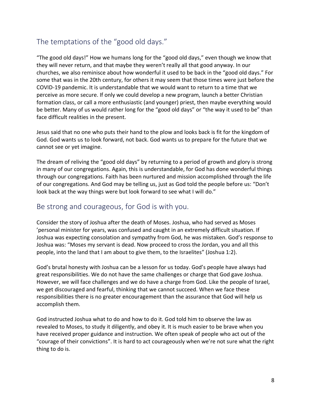# The temptations of the "good old days."

"The good old days!" How we humans long for the "good old days," even though we know that they will never return, and that maybe they weren't really all that good anyway. In our churches, we also reminisce about how wonderful it used to be back in the "good old days." For some that was in the 20th century, for others it may seem that those times were just before the COVID-19 pandemic. It is understandable that we would want to return to a time that we perceive as more secure. If only we could develop a new program, launch a better Christian formation class, or call a more enthusiastic (and younger) priest, then maybe everything would be better. Many of us would rather long for the "good old days" or "the way it used to be" than face difficult realities in the present.

Jesus said that no one who puts their hand to the plow and looks back is fit for the kingdom of God. God wants us to look forward, not back. God wants us to prepare for the future that we cannot see or yet imagine.

The dream of reliving the "good old days" by returning to a period of growth and glory is strong in many of our congregations. Again, this is understandable, for God has done wonderful things through our congregations. Faith has been nurtured and mission accomplished through the life of our congregations. And God may be telling us, just as God told the people before us: "Don't look back at the way things were but look forward to see what I will do."

#### Be strong and courageous, for God is with you.

Consider the story of Joshua after the death of Moses. Joshua, who had served as Moses 'personal minister for years, was confused and caught in an extremely difficult situation. If Joshua was expecting consolation and sympathy from God, he was mistaken. God's response to Joshua was: "Moses my servant is dead. Now proceed to cross the Jordan, you and all this people, into the land that I am about to give them, to the Israelites" (Joshua 1:2).

God's brutal honesty with Joshua can be a lesson for us today. God's people have always had great responsibilities. We do not have the same challenges or charge that God gave Joshua. However, we will face challenges and we do have a charge from God. Like the people of Israel, we get discouraged and fearful, thinking that we cannot succeed. When we face these responsibilities there is no greater encouragement than the assurance that God will help us accomplish them.

God instructed Joshua what to do and how to do it. God told him to observe the law as revealed to Moses, to study it diligently, and obey it. It is much easier to be brave when you have received proper guidance and instruction. We often speak of people who act out of the "courage of their convictions". It is hard to act courageously when we're not sure what the right thing to do is.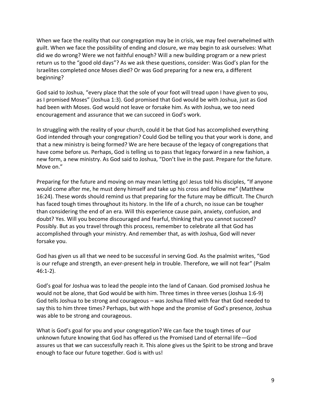When we face the reality that our congregation may be in crisis, we may feel overwhelmed with guilt. When we face the possibility of ending and closure, we may begin to ask ourselves: What did we do wrong? Were we not faithful enough? Will a new building program or a new priest return us to the "good old days"? As we ask these questions, consider: Was God's plan for the Israelites completed once Moses died? Or was God preparing for a new era, a different beginning?

God said to Joshua, "every place that the sole of your foot will tread upon I have given to you, as I promised Moses" (Joshua 1:3). God promised that God would be with Joshua, just as God had been with Moses. God would not leave or forsake him. As with Joshua, we too need encouragement and assurance that we can succeed in God's work.

In struggling with the reality of your church, could it be that God has accomplished everything God intended through your congregation? Could God be telling you that your work is done, and that a new ministry is being formed? We are here because of the legacy of congregations that have come before us. Perhaps, God is telling us to pass that legacy forward in a new fashion, a new form, a new ministry. As God said to Joshua, "Don't live in the past. Prepare for the future. Move on."

Preparing for the future and moving on may mean letting go! Jesus told his disciples, "If anyone would come after me, he must deny himself and take up his cross and follow me" (Matthew 16:24). These words should remind us that preparing for the future may be difficult. The Church has faced tough times throughout its history. In the life of a church, no issue can be tougher than considering the end of an era. Will this experience cause pain, anxiety, confusion, and doubt? Yes. Will you become discouraged and fearful, thinking that you cannot succeed? Possibly. But as you travel through this process, remember to celebrate all that God has accomplished through your ministry. And remember that, as with Joshua, God will never forsake you.

God has given us all that we need to be successful in serving God. As the psalmist writes, "God is our refuge and strength, an ever-present help in trouble. Therefore, we will not fear" (Psalm 46:1-2).

God's goal for Joshua was to lead the people into the land of Canaan. God promised Joshua he would not be alone, that God would be with him. Three times in three verses (Joshua 1:6-9) God tells Joshua to be strong and courageous – was Joshua filled with fear that God needed to say this to him three times? Perhaps, but with hope and the promise of God's presence, Joshua was able to be strong and courageous.

What is God's goal for you and your congregation? We can face the tough times of our unknown future knowing that God has offered us the Promised Land of eternal life—God assures us that we can successfully reach it. This alone gives us the Spirit to be strong and brave enough to face our future together. God is with us!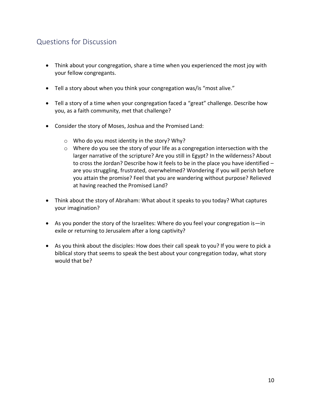# Questions for Discussion

- Think about your congregation, share a time when you experienced the most joy with your fellow congregants.
- Tell a story about when you think your congregation was/is "most alive."
- Tell a story of a time when your congregation faced a "great" challenge. Describe how you, as a faith community, met that challenge?
- Consider the story of Moses, Joshua and the Promised Land:
	- o Who do you most identity in the story? Why?
	- $\circ$  Where do you see the story of your life as a congregation intersection with the larger narrative of the scripture? Are you still in Egypt? In the wilderness? About to cross the Jordan? Describe how it feels to be in the place you have identified – are you struggling, frustrated, overwhelmed? Wondering if you will perish before you attain the promise? Feel that you are wandering without purpose? Relieved at having reached the Promised Land?
- Think about the story of Abraham: What about it speaks to you today? What captures your imagination?
- As you ponder the story of the Israelites: Where do you feel your congregation is—in exile or returning to Jerusalem after a long captivity?
- As you think about the disciples: How does their call speak to you? If you were to pick a biblical story that seems to speak the best about your congregation today, what story would that be?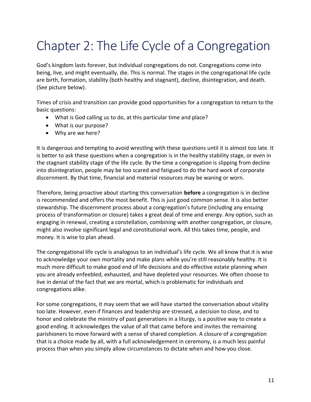# Chapter 2: The Life Cycle of a Congregation

God's kingdom lasts forever, but individual congregations do not. Congregations come into being, live, and might eventually, die. This is normal. The stages in the congregational life cycle are birth, formation, stability (both healthy and stagnant), decline, disintegration, and death. (See picture below).

Times of crisis and transition can provide good opportunities for a congregation to return to the basic questions:

- What is God calling us to do, at this particular time and place?
- What is our purpose?
- Why are we here?

It is dangerous and tempting to avoid wrestling with these questions until it is almost too late. It is better to ask these questions when a congregation is in the healthy stability stage, or even in the stagnant stability stage of the life cycle. By the time a congregation is slipping from decline into disintegration, people may be too scared and fatigued to do the hard work of corporate discernment. By that time, financial and material resources may be waning or worn.

Therefore, being proactive about starting this conversation **before** a congregation is in decline is recommended and offers the most benefit. This is just good common sense. It is also better stewardship. The discernment process about a congregation's future (including any ensuing process of transformation or closure) takes a great deal of time and energy. Any option, such as engaging in renewal, creating a constellation, combining with another congregation, or closure, might also involve significant legal and constitutional work. All this takes time, people, and money. It is wise to plan ahead.

The congregational life cycle is analogous to an individual's life cycle. We all know that it is wise to acknowledge your own mortality and make plans while you're still reasonably healthy. It is much more difficult to make good end of life decisions and do effective estate planning when you are already enfeebled, exhausted, and have depleted your resources. We often choose to live in denial of the fact that we are mortal, which is problematic for individuals and congregations alike.

For some congregations, it may seem that we will have started the conversation about vitality too late. However, even if finances and leadership are stressed, a decision to close, and to honor and celebrate the ministry of past generations in a liturgy, is a positive way to create a good ending. It acknowledges the value of all that came before and invites the remaining parishioners to move forward with a sense of shared completion. A closure of a congregation that is a choice made by all, with a full acknowledgement in ceremony, is a much less painful process than when you simply allow circumstances to dictate when and how you close.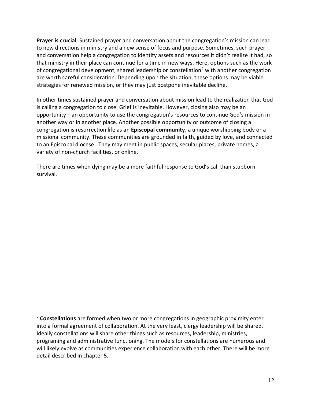**Prayer is crucial**. Sustained prayer and conversation about the congregation's mission can lead to new directions in ministry and a new sense of focus and purpose. Sometimes, such prayer and conversation help a congregation to identify assets and resources it didn't realize it had, so that ministry in their place can continue for a time in new ways. Here, options such as the work of congregational development, shared leadership or constellation<sup>2</sup> with another congregation are worth careful consideration. Depending upon the situation, these options may be viable strategies for renewed mission, or they may just postpone inevitable decline.

In other times sustained prayer and conversation about mission lead to the realization that God is calling a congregation to close. Grief is inevitable. However, closing also may be an opportunity—an opportunity to use the congregation's resources to continue God's mission in another way or in another place. Another possible opportunity or outcome of closing a congregation is resurrection life as an **Episcopal community**, a unique worshipping body or a missional community. These communities are grounded in faith, guided by love, and connected to an Episcopal diocese. They may meet in public spaces, secular places, private homes, a variety of non-church facilities, or online.

There are times when dying may be a more faithful response to God's call than stubborn survival.

<sup>2</sup> **Constellations** are formed when two or more congregations in geographic proximity enter into a formal agreement of collaboration. At the very least, clergy leadership will be shared. Ideally constellations will share other things such as resources, leadership, ministries, programing and administrative functioning. The models for constellations are numerous and will likely evolve as communities experience collaboration with each other. There will be more detail described in chapter 5.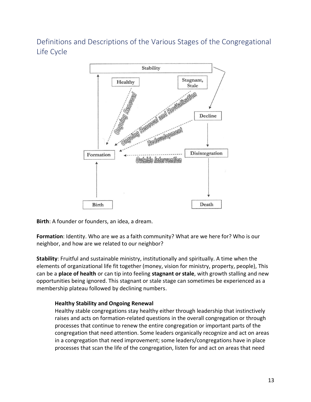Definitions and Descriptions of the Various Stages of the Congregational Life Cycle



**Birth**: A founder or founders, an idea, a dream.

**Formation**: Identity. Who are we as a faith community? What are we here for? Who is our neighbor, and how are we related to our neighbor?

**Stability**: Fruitful and sustainable ministry, institutionally and spiritually. A time when the elements of organizational life fit together (money, vision for ministry, property, people), This can be a **place of health** or can tip into feeling **stagnant or stale**, with growth stalling and new opportunities being ignored. This stagnant or stale stage can sometimes be experienced as a membership plateau followed by declining numbers.

#### **Healthy Stability and Ongoing Renewal**

Healthy stable congregations stay healthy either through leadership that instinctively raises and acts on formation-related questions in the overall congregation or through processes that continue to renew the entire congregation or important parts of the congregation that need attention. Some leaders organically recognize and act on areas in a congregation that need improvement; some leaders/congregations have in place processes that scan the life of the congregation, listen for and act on areas that need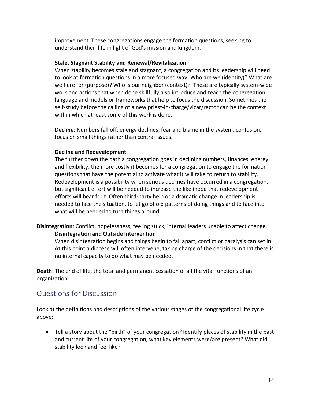improvement. These congregations engage the formation questions, seeking to understand their life in light of God's mission and kingdom.

#### **Stale, Stagnant Stability and Renewal/Revitalization**

When stability becomes stale and stagnant, a congregation and its leadership will need to look at formation questions in a more focused way: Who are we (identity)? What are we here for (purpose)? Who is our neighbor (context)? These are typically system-wide work and actions that when done skillfully also introduce and teach the congregation language and models or frameworks that help to focus the discussion. Sometimes the self-study before the calling of a new priest-in-charge/vicar/rector can be the context within which at least some of this work is done.

**Decline**: Numbers fall off, energy declines, fear and blame in the system, confusion, focus on small things rather than central issues.

#### **Decline and Redevelopment**

The further down the path a congregation goes in declining numbers, finances, energy and flexibility, the more costly it becomes for a congregation to engage the formation questions that have the potential to activate what it will take to return to stability. Redevelopment is a possibility when serious declines have occurred in a congregation, but significant effort will be needed to increase the likelihood that redevelopment efforts will bear fruit. Often third-party help or a dramatic change in leadership is needed to face the situation, to let go of old patterns of doing things and to face into what will be needed to turn things around.

**Disintegration**: Conflict, hopelessness, feeling stuck, internal leaders unable to affect change. **Disintegration and Outside Intervention**

When disintegration begins and things begin to fall apart, conflict or paralysis can set in. At this point a diocese will often intervene, taking charge of the decisions in that there is no internal capacity to do what may be needed.

**Death**: The end of life, the total and permanent cessation of all the vital functions of an organization.

#### Questions for Discussion

Look at the definitions and descriptions of the various stages of the congregational life cycle above:

• Tell a story about the "birth" of your congregation? Identify places of stability in the past and current life of your congregation, what key elements were/are present? What did stability look and feel like?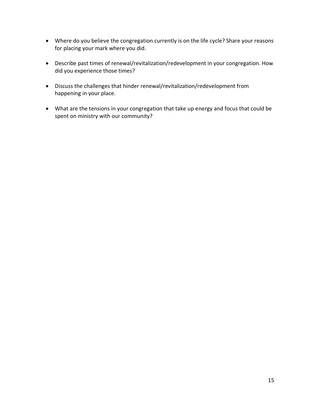- Where do you believe the congregation currently is on the life cycle? Share your reasons for placing your mark where you did.
- Describe past times of renewal/revitalization/redevelopment in your congregation. How did you experience those times?
- Discuss the challenges that hinder renewal/revitalization/redevelopment from happening in your place.
- What are the tensions in your congregation that take up energy and focus that could be spent on ministry with our community?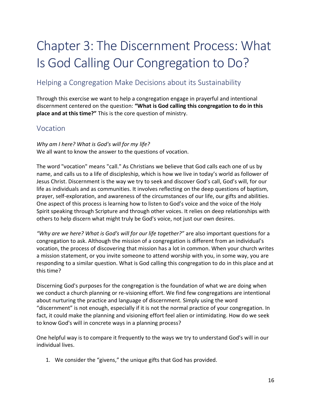# Chapter 3: The Discernment Process: What Is God Calling Our Congregation to Do?

### Helping a Congregation Make Decisions about its Sustainability

Through this exercise we want to help a congregation engage in prayerful and intentional discernment centered on the question: **"What is God calling this congregation to do in this place and at this time?"** This is the core question of ministry.

#### Vocation

*Why am I here? What is God's will for my life?* We all want to know the answer to the questions of vocation.

The word "vocation" means "call." As Christians we believe that God calls each one of us by name, and calls us to a life of discipleship, which is how we live in today's world as follower of Jesus Christ. Discernment is the way we try to seek and discover God's call, God's will, for our life as individuals and as communities. It involves reflecting on the deep questions of baptism, prayer, self-exploration, and awareness of the circumstances of our life, our gifts and abilities. One aspect of this process is learning how to listen to God's voice and the voice of the Holy Spirit speaking through Scripture and through other voices. It relies on deep relationships with others to help discern what might truly be God's voice, not just our own desires.

*"Why are we here? What is God's will for our life together?"* are also important questions for a congregation to ask. Although the mission of a congregation is different from an individual's vocation, the process of discovering that mission has a lot in common. When your church writes a mission statement, or you invite someone to attend worship with you, in some way, you are responding to a similar question. What is God calling this congregation to do in this place and at this time?

Discerning God's purposes for the congregation is the foundation of what we are doing when we conduct a church planning or re-visioning effort. We find few congregations are intentional about nurturing the practice and language of discernment. Simply using the word "discernment" is not enough, especially if it is not the normal practice of your congregation. In fact, it could make the planning and visioning effort feel alien or intimidating. How do we seek to know God's will in concrete ways in a planning process?

One helpful way is to compare it frequently to the ways we try to understand God's will in our individual lives.

1. We consider the "givens," the unique gifts that God has provided.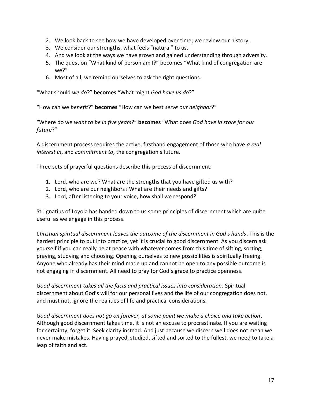- 2. We look back to see how we have developed over time; we review our history.
- 3. We consider our strengths, what feels "natural" to us.
- 4. And we look at the ways we have grown and gained understanding through adversity.
- 5. The question "What kind of person am I?" becomes "What kind of congregation are we?"
- 6. Most of all, we remind ourselves to ask the right questions.

"What should *we do*?" **becomes** "What might *God have us do*?"

"How can we *benefit*?" **becomes** "How can we best *serve our neighbor*?"

"Where do we *want to be in five years*?" **becomes** "What does *God have in store for our future*?"

A discernment process requires the active, firsthand engagement of those who have *a real interest in*, and *commitment to*, the congregation's future.

Three sets of prayerful questions describe this process of discernment:

- 1. Lord, who are we? What are the strengths that you have gifted us with?
- 2. Lord, who are our neighbors? What are their needs and gifts?
- 3. Lord, after listening to your voice, how shall we respond?

St. Ignatius of Loyola has handed down to us some principles of discernment which are quite useful as we engage in this process.

*Christian spiritual discernment leaves the outcome of the discernment in God s hands*. This is the hardest principle to put into practice, yet it is crucial to good discernment. As you discern ask yourself if you can really be at peace with whatever comes from this time of sifting, sorting, praying, studying and choosing. Opening ourselves to new possibilities is spiritually freeing. Anyone who already has their mind made up and cannot be open to any possible outcome is not engaging in discernment. All need to pray for God's grace to practice openness.

*Good discernment takes all the facts and practical issues into consideration*. Spiritual discernment about God's will for our personal lives and the life of our congregation does not, and must not, ignore the realities of life and practical considerations.

*Good discernment does not go on forever, at some point we make a choice and take action*. Although good discernment takes time, it is not an excuse to procrastinate. If you are waiting for certainty, forget it. Seek clarity instead. And just because we discern well does not mean we never make mistakes. Having prayed, studied, sifted and sorted to the fullest, we need to take a leap of faith and act.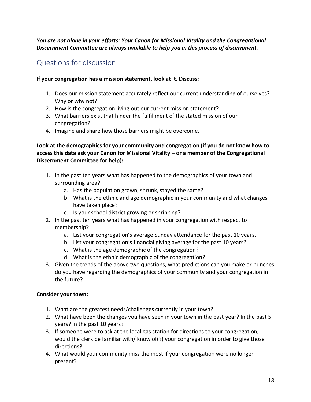*You are not alone in your efforts: Your Canon for Missional Vitality and the Congregational Discernment Committee are always available to help you in this process of discernment.*

# Questions for discussion

#### **If your congregation has a mission statement, look at it. Discuss:**

- 1. Does our mission statement accurately reflect our current understanding of ourselves? Why or why not?
- 2. How is the congregation living out our current mission statement?
- 3. What barriers exist that hinder the fulfillment of the stated mission of our congregation?
- 4. Imagine and share how those barriers might be overcome.

**Look at the demographics for your community and congregation (if you do not know how to access this data ask your Canon for Missional Vitality – or a member of the Congregational Discernment Committee for help):**

- 1. In the past ten years what has happened to the demographics of your town and surrounding area?
	- a. Has the population grown, shrunk, stayed the same?
	- b. What is the ethnic and age demographic in your community and what changes have taken place?
	- c. Is your school district growing or shrinking?
- 2. In the past ten years what has happened in your congregation with respect to membership?
	- a. List your congregation's average Sunday attendance for the past 10 years.
	- b. List your congregation's financial giving average for the past 10 years?
	- c. What is the age demographic of the congregation?
	- d. What is the ethnic demographic of the congregation?
- 3. Given the trends of the above two questions, what predictions can you make or hunches do you have regarding the demographics of your community and your congregation in the future?

#### **Consider your town:**

- 1. What are the greatest needs/challenges currently in your town?
- 2. What have been the changes you have seen in your town in the past year? In the past 5 years? In the past 10 years?
- 3. If someone were to ask at the local gas station for directions to your congregation, would the clerk be familiar with/ know of(?) your congregation in order to give those directions?
- 4. What would your community miss the most if your congregation were no longer present?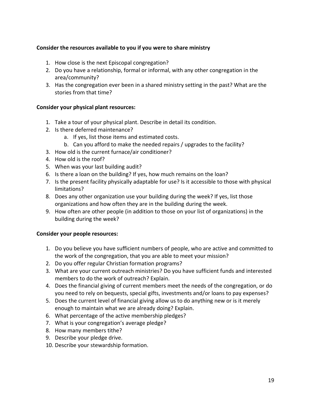#### **Consider the resources available to you if you were to share ministry**

- 1. How close is the next Episcopal congregation?
- 2. Do you have a relationship, formal or informal, with any other congregation in the area/community?
- 3. Has the congregation ever been in a shared ministry setting in the past? What are the stories from that time?

#### **Consider your physical plant resources:**

- 1. Take a tour of your physical plant. Describe in detail its condition.
- 2. Is there deferred maintenance?
	- a. If yes, list those items and estimated costs.
	- b. Can you afford to make the needed repairs / upgrades to the facility?
- 3. How old is the current furnace/air conditioner?
- 4. How old is the roof?
- 5. When was your last building audit?
- 6. Is there a loan on the building? If yes, how much remains on the loan?
- 7. Is the present facility physically adaptable for use? Is it accessible to those with physical limitations?
- 8. Does any other organization use your building during the week? If yes, list those organizations and how often they are in the building during the week.
- 9. How often are other people (in addition to those on your list of organizations) in the building during the week?

#### **Consider your people resources:**

- 1. Do you believe you have sufficient numbers of people, who are active and committed to the work of the congregation, that you are able to meet your mission?
- 2. Do you offer regular Christian formation programs?
- 3. What are your current outreach ministries? Do you have sufficient funds and interested members to do the work of outreach? Explain.
- 4. Does the financial giving of current members meet the needs of the congregation, or do you need to rely on bequests, special gifts, investments and/or loans to pay expenses?
- 5. Does the current level of financial giving allow us to do anything new or is it merely enough to maintain what we are already doing? Explain.
- 6. What percentage of the active membership pledges?
- 7. What is your congregation's average pledge?
- 8. How many members tithe?
- 9. Describe your pledge drive.
- 10. Describe your stewardship formation.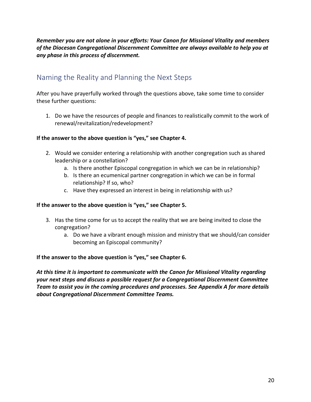*Remember you are not alone in your efforts: Your Canon for Missional Vitality and members of the Diocesan Congregational Discernment Committee are always available to help you at any phase in this process of discernment.*

### Naming the Reality and Planning the Next Steps

After you have prayerfully worked through the questions above, take some time to consider these further questions:

1. Do we have the resources of people and finances to realistically commit to the work of renewal/revitalization/redevelopment?

#### **If the answer to the above question is "yes," see Chapter 4.**

- 2. Would we consider entering a relationship with another congregation such as shared leadership or a constellation?
	- a. Is there another Episcopal congregation in which we can be in relationship?
	- b. Is there an ecumenical partner congregation in which we can be in formal relationship? If so, who?
	- c. Have they expressed an interest in being in relationship with us?

#### **If the answer to the above question is "yes," see Chapter 5.**

- 3. Has the time come for us to accept the reality that we are being invited to close the congregation?
	- a. Do we have a vibrant enough mission and ministry that we should/can consider becoming an Episcopal community?

#### **If the answer to the above question is "yes," see Chapter 6.**

*At this time it is important to communicate with the Canon for Missional Vitality regarding your next steps and discuss a possible request for a Congregational Discernment Committee Team to assist you in the coming procedures and processes. See Appendix A for more details about Congregational Discernment Committee Teams.*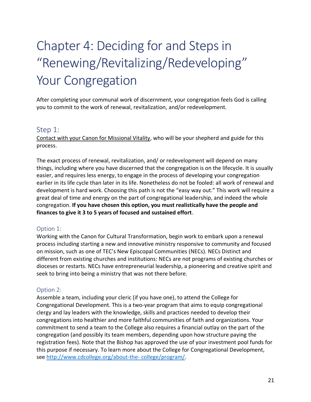# Chapter 4: Deciding for and Steps in "Renewing/Revitalizing/Redeveloping" Your Congregation

After completing your communal work of discernment, your congregation feels God is calling you to commit to the work of renewal, revitalization, and/or redevelopment.

#### Step 1:

Contact with your Canon for Missional Vitality, who will be your shepherd and guide for this process.

The exact process of renewal, revitalization, and/ or redevelopment will depend on many things, including where you have discerned that the congregation is on the lifecycle. It is usually easier, and requires less energy, to engage in the process of developing your congregation earlier in its life cycle than later in its life. Nonetheless do not be fooled: all work of renewal and development is hard work. Choosing this path is not the "easy way out." This work will require a great deal of time and energy on the part of congregational leadership, and indeed the whole congregation. **If you have chosen this option, you must realistically have the people and finances to give it 3 to 5 years of focused and sustained effort**.

#### Option 1:

Working with the Canon for Cultural Transformation, begin work to embark upon a renewal process including starting a new and innovative ministry responsive to community and focused on mission, such as one of TEC's New Episcopal Communities (NECs). NECs Distinct and different from existing churches and institutions: NECs are not programs of existing churches or dioceses or restarts. NECs have entrepreneurial leadership, a pioneering and creative spirit and seek to bring into being a ministry that was not there before.

#### Option 2:

Assemble a team, including your cleric (if you have one), to attend the College for Congregational Development. This is a two-year program that aims to equip congregational clergy and lay leaders with the knowledge, skills and practices needed to develop their congregations into healthier and more faithful communities of faith and organizations. Your commitment to send a team to the College also requires a financial outlay on the part of the congregation (and possibly its team members, depending upon how structure paying the registration fees). Note that the Bishop has approved the use of your investment pool funds for this purpose if necessary. To learn more about the College for Congregational Development, see [http://www.cdcollege.org/about-the-](http://www.cdcollege.org/about-the-%20college/program/) college/program/.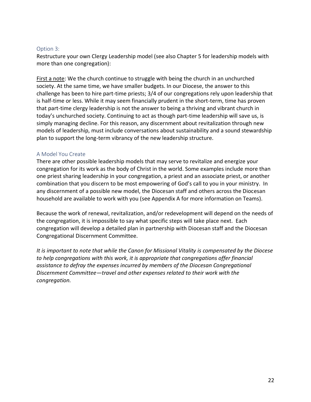#### Option 3:

Restructure your own Clergy Leadership model (see also Chapter 5 for leadership models with more than one congregation):

First a note: We the church continue to struggle with being the church in an unchurched society. At the same time, we have smaller budgets. In our Diocese, the answer to this challenge has been to hire part-time priests; 3/4 of our congregations rely upon leadership that is half-time or less. While it may seem financially prudent in the short-term, time has proven that part-time clergy leadership is not the answer to being a thriving and vibrant church in today's unchurched society. Continuing to act as though part-time leadership will save us, is simply managing decline. For this reason, any discernment about revitalization through new models of leadership, must include conversations about sustainability and a sound stewardship plan to support the long-term vibrancy of the new leadership structure.

#### A Model You Create

There are other possible leadership models that may serve to revitalize and energize your congregation for its work as the body of Christ in the world. Some examples include more than one priest sharing leadership in your congregation, a priest and an associate priest, or another combination that you discern to be most empowering of God's call to you in your ministry. In any discernment of a possible new model, the Diocesan staff and others across the Diocesan household are available to work with you (see Appendix A for more information on Teams).

Because the work of renewal, revitalization, and/or redevelopment will depend on the needs of the congregation, it is impossible to say what specific steps will take place next. Each congregation will develop a detailed plan in partnership with Diocesan staff and the Diocesan Congregational Discernment Committee.

*It is important to note that while the Canon for Missional Vitality is compensated by the Diocese to help congregations with this work, it is appropriate that congregations offer financial assistance to defray the expenses incurred by members of the Diocesan Congregational Discernment Committee—travel and other expenses related to their work with the congregation.*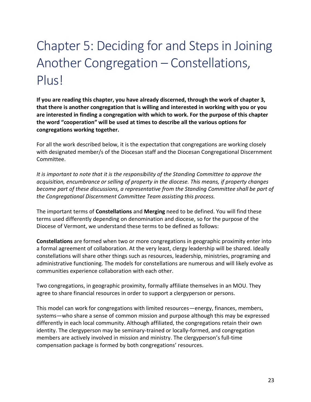# Chapter 5: Deciding for and Steps in Joining Another Congregation – Constellations, Plus!

**If you are reading this chapter, you have already discerned, through the work of chapter 3, that there is another congregation that is willing and interested in working with you or you are interested in finding a congregation with which to work. For the purpose of this chapter the word "cooperation" will be used at times to describe all the various options for congregations working together.**

For all the work described below, it is the expectation that congregations are working closely with designated member/s of the Diocesan staff and the Diocesan Congregational Discernment Committee.

*It is important to note that it is the responsibility of the Standing Committee to approve the acquisition, encumbrance or selling of property in the diocese. This means, if property changes become part of these discussions, a representative from the Standing Committee shall be part of the Congregational Discernment Committee Team assisting this process.*

The important terms of **Constellations** and **Merging** need to be defined. You will find these terms used differently depending on denomination and diocese, so for the purpose of the Diocese of Vermont, we understand these terms to be defined as follows:

**Constellations** are formed when two or more congregations in geographic proximity enter into a formal agreement of collaboration. At the very least, clergy leadership will be shared. Ideally constellations will share other things such as resources, leadership, ministries, programing and administrative functioning. The models for constellations are numerous and will likely evolve as communities experience collaboration with each other.

Two congregations, in geographic proximity, formally affiliate themselves in an MOU. They agree to share financial resources in order to support a clergyperson or persons.

This model can work for congregations with limited resources—energy, finances, members, systems—who share a sense of common mission and purpose although this may be expressed differently in each local community. Although affiliated, the congregations retain their own identity. The clergyperson may be seminary-trained or locally-formed, and congregation members are actively involved in mission and ministry. The clergyperson's full-time compensation package is formed by both congregations' resources.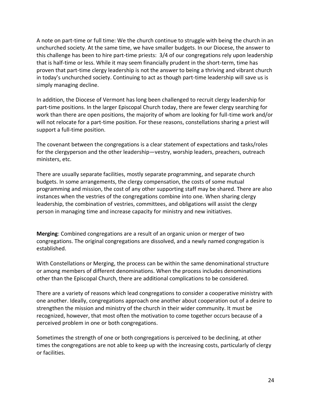A note on part-time or full time: We the church continue to struggle with being the church in an unchurched society. At the same time, we have smaller budgets. In our Diocese, the answer to this challenge has been to hire part-time priests: 3/4 of our congregations rely upon leadership that is half-time or less. While it may seem financially prudent in the short-term, time has proven that part-time clergy leadership is not the answer to being a thriving and vibrant church in today's unchurched society. Continuing to act as though part-time leadership will save us is simply managing decline.

In addition, the Diocese of Vermont has long been challenged to recruit clergy leadership for part-time positions. In the larger Episcopal Church today, there are fewer clergy searching for work than there are open positions, the majority of whom are looking for full-time work and/or will not relocate for a part-time position. For these reasons, constellations sharing a priest will support a full-time position.

The covenant between the congregations is a clear statement of expectations and tasks/roles for the clergyperson and the other leadership—vestry, worship leaders, preachers, outreach ministers, etc.

There are usually separate facilities, mostly separate programming, and separate church budgets. In some arrangements, the clergy compensation, the costs of some mutual programming and mission, the cost of any other supporting staff may be shared. There are also instances when the vestries of the congregations combine into one. When sharing clergy leadership, the combination of vestries, committees, and obligations will assist the clergy person in managing time and increase capacity for ministry and new initiatives.

**Merging**: Combined congregations are a result of an organic union or merger of two congregations. The original congregations are dissolved, and a newly named congregation is established.

With Constellations or Merging, the process can be within the same denominational structure or among members of different denominations. When the process includes denominations other than the Episcopal Church, there are additional complications to be considered.

There are a variety of reasons which lead congregations to consider a cooperative ministry with one another. Ideally, congregations approach one another about cooperation out of a desire to strengthen the mission and ministry of the church in their wider community. It must be recognized, however, that most often the motivation to come together occurs because of a perceived problem in one or both congregations.

Sometimes the strength of one or both congregations is perceived to be declining, at other times the congregations are not able to keep up with the increasing costs, particularly of clergy or facilities.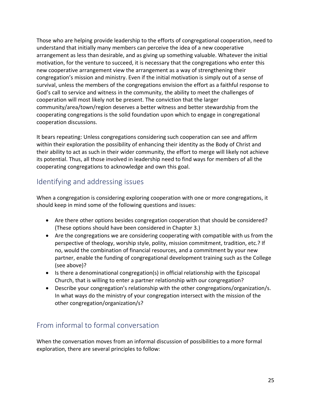Those who are helping provide leadership to the efforts of congregational cooperation, need to understand that initially many members can perceive the idea of a new cooperative arrangement as less than desirable, and as giving up something valuable. Whatever the initial motivation, for the venture to succeed, it is necessary that the congregations who enter this new cooperative arrangement view the arrangement as a way of strengthening their congregation's mission and ministry. Even if the initial motivation is simply out of a sense of survival, unless the members of the congregations envision the effort as a faithful response to God's call to service and witness in the community, the ability to meet the challenges of cooperation will most likely not be present. The conviction that the larger community/area/town/region deserves a better witness and better stewardship from the cooperating congregations is the solid foundation upon which to engage in congregational cooperation discussions.

It bears repeating: Unless congregations considering such cooperation can see and affirm within their exploration the possibility of enhancing their identity as the Body of Christ and their ability to act as such in their wider community, the effort to merge will likely not achieve its potential. Thus, all those involved in leadership need to find ways for members of all the cooperating congregations to acknowledge and own this goal.

# Identifying and addressing issues

When a congregation is considering exploring cooperation with one or more congregations, it should keep in mind some of the following questions and issues:

- Are there other options besides congregation cooperation that should be considered? (These options should have been considered in Chapter 3.)
- Are the congregations we are considering cooperating with compatible with us from the perspective of theology, worship style, polity, mission commitment, tradition, etc.? If no, would the combination of financial resources, and a commitment by your new partner, enable the funding of congregational development training such as the College (see above)?
- Is there a denominational congregation(s) in official relationship with the Episcopal Church, that is willing to enter a partner relationship with our congregation?
- Describe your congregation's relationship with the other congregations/organization/s. In what ways do the ministry of your congregation intersect with the mission of the other congregation/organization/s?

# From informal to formal conversation

When the conversation moves from an informal discussion of possibilities to a more formal exploration, there are several principles to follow: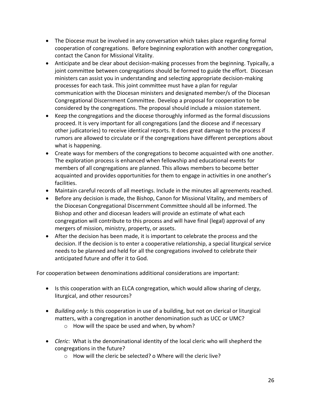- The Diocese must be involved in any conversation which takes place regarding formal cooperation of congregations. Before beginning exploration with another congregation, contact the Canon for Missional Vitality.
- Anticipate and be clear about decision-making processes from the beginning. Typically, a joint committee between congregations should be formed to guide the effort. Diocesan ministers can assist you in understanding and selecting appropriate decision-making processes for each task. This joint committee must have a plan for regular communication with the Diocesan ministers and designated member/s of the Diocesan Congregational Discernment Committee. Develop a proposal for cooperation to be considered by the congregations. The proposal should include a mission statement.
- Keep the congregations and the diocese thoroughly informed as the formal discussions proceed. It is very important for all congregations (and the diocese and if necessary other judicatories) to receive identical reports. It does great damage to the process if rumors are allowed to circulate or if the congregations have different perceptions about what is happening.
- Create ways for members of the congregations to become acquainted with one another. The exploration process is enhanced when fellowship and educational events for members of all congregations are planned. This allows members to become better acquainted and provides opportunities for them to engage in activities in one another's facilities.
- Maintain careful records of all meetings. Include in the minutes all agreements reached.
- Before any decision is made, the Bishop, Canon for Missional Vitality, and members of the Diocesan Congregational Discernment Committee should all be informed. The Bishop and other and diocesan leaders will provide an estimate of what each congregation will contribute to this process and will have final (legal) approval of any mergers of mission, ministry, property, or assets.
- After the decision has been made, it is important to celebrate the process and the decision. If the decision is to enter a cooperative relationship, a special liturgical service needs to be planned and held for all the congregations involved to celebrate their anticipated future and offer it to God.

For cooperation between denominations additional considerations are important:

- Is this cooperation with an ELCA congregation, which would allow sharing of clergy, liturgical, and other resources?
- *Building only*: Is this cooperation in use of a building, but not on clerical or liturgical matters, with a congregation in another denomination such as UCC or UMC?
	- o How will the space be used and when, by whom?
- *Cleric*: What is the denominational identity of the local cleric who will shepherd the congregations in the future?
	- o How will the cleric be selected? o Where will the cleric live?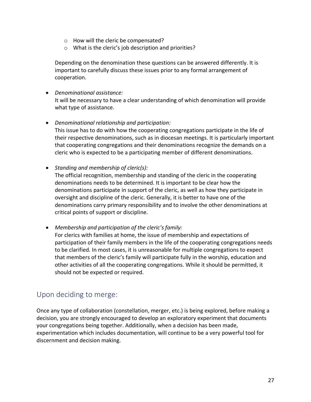- o How will the cleric be compensated?
- o What is the cleric's job description and priorities?

Depending on the denomination these questions can be answered differently. It is important to carefully discuss these issues prior to any formal arrangement of cooperation.

- *Denominational assistance:* It will be necessary to have a clear understanding of which denomination will provide what type of assistance.
- *Denominational relationship and participation:* This issue has to do with how the cooperating congregations participate in the life of their respective denominations, such as in diocesan meetings. It is particularly important that cooperating congregations and their denominations recognize the demands on a cleric who is expected to be a participating member of different denominations.
- *Standing and membership of cleric(s):*

The official recognition, membership and standing of the cleric in the cooperating denominations needs to be determined. It is important to be clear how the denominations participate in support of the cleric, as well as how they participate in oversight and discipline of the cleric. Generally, it is better to have one of the denominations carry primary responsibility and to involve the other denominations at critical points of support or discipline.

• *Membership and participation of the cleric's family:*

For clerics with families at home, the issue of membership and expectations of participation of their family members in the life of the cooperating congregations needs to be clarified. In most cases, it is unreasonable for multiple congregations to expect that members of the cleric's family will participate fully in the worship, education and other activities of all the cooperating congregations. While it should be permitted, it should not be expected or required.

#### Upon deciding to merge:

Once any type of collaboration (constellation, merger, etc.) is being explored, before making a decision, you are strongly encouraged to develop an exploratory experiment that documents your congregations being together. Additionally, when a decision has been made, experimentation which includes documentation, will continue to be a very powerful tool for discernment and decision making.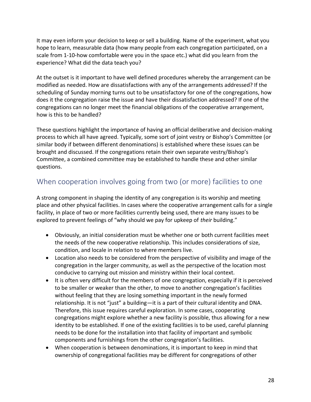It may even inform your decision to keep or sell a building. Name of the experiment, what you hope to learn, measurable data (how many people from each congregation participated, on a scale from 1-10-how comfortable were you in the space etc.) what did you learn from the experience? What did the data teach you?

At the outset is it important to have well defined procedures whereby the arrangement can be modified as needed. How are dissatisfactions with any of the arrangements addressed? If the scheduling of Sunday morning turns out to be unsatisfactory for one of the congregations, how does it the congregation raise the issue and have their dissatisfaction addressed? If one of the congregations can no longer meet the financial obligations of the cooperative arrangement, how is this to be handled?

These questions highlight the importance of having an official deliberative and decision-making process to which all have agreed. Typically, some sort of joint vestry or Bishop's Committee (or similar body if between different denominations) is established where these issues can be brought and discussed. If the congregations retain their own separate vestry/Bishop's Committee, a combined committee may be established to handle these and other similar questions.

### When cooperation involves going from two (or more) facilities to one

A strong component in shaping the identity of any congregation is its worship and meeting place and other physical facilities. In cases where the cooperative arrangement calls for a single facility, in place of two or more facilities currently being used, there are many issues to be explored to prevent feelings of "why should we pay for upkeep of *their* building."

- Obviously, an initial consideration must be whether one or both current facilities meet the needs of the new cooperative relationship. This includes considerations of size, condition, and locale in relation to where members live.
- Location also needs to be considered from the perspective of visibility and image of the congregation in the larger community, as well as the perspective of the location most conducive to carrying out mission and ministry within their local context.
- It is often very difficult for the members of one congregation, especially if it is perceived to be smaller or weaker than the other, to move to another congregation's facilities without feeling that they are losing something important in the newly formed relationship. It is not "just" a building—it is a part of their cultural identity and DNA. Therefore, this issue requires careful exploration. In some cases, cooperating congregations might explore whether a new facility is possible, thus allowing for a new identity to be established. If one of the existing facilities is to be used, careful planning needs to be done for the installation into that facility of important and symbolic components and furnishings from the other congregation's facilities.
- When cooperation is between denominations, it is important to keep in mind that ownership of congregational facilities may be different for congregations of other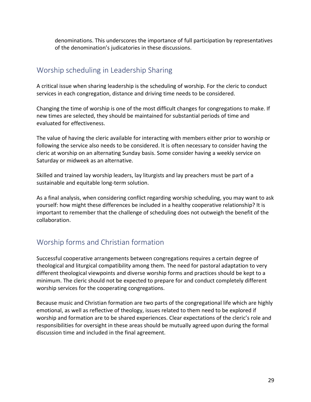denominations. This underscores the importance of full participation by representatives of the denomination's judicatories in these discussions.

# Worship scheduling in Leadership Sharing

A critical issue when sharing leadership is the scheduling of worship. For the cleric to conduct services in each congregation, distance and driving time needs to be considered.

Changing the time of worship is one of the most difficult changes for congregations to make. If new times are selected, they should be maintained for substantial periods of time and evaluated for effectiveness.

The value of having the cleric available for interacting with members either prior to worship or following the service also needs to be considered. It is often necessary to consider having the cleric at worship on an alternating Sunday basis. Some consider having a weekly service on Saturday or midweek as an alternative.

Skilled and trained lay worship leaders, lay liturgists and lay preachers must be part of a sustainable and equitable long-term solution.

As a final analysis, when considering conflict regarding worship scheduling, you may want to ask yourself: how might these differences be included in a healthy cooperative relationship? It is important to remember that the challenge of scheduling does not outweigh the benefit of the collaboration.

### Worship forms and Christian formation

Successful cooperative arrangements between congregations requires a certain degree of theological and liturgical compatibility among them. The need for pastoral adaptation to very different theological viewpoints and diverse worship forms and practices should be kept to a minimum. The cleric should not be expected to prepare for and conduct completely different worship services for the cooperating congregations.

Because music and Christian formation are two parts of the congregational life which are highly emotional, as well as reflective of theology, issues related to them need to be explored if worship and formation are to be shared experiences. Clear expectations of the cleric's role and responsibilities for oversight in these areas should be mutually agreed upon during the formal discussion time and included in the final agreement.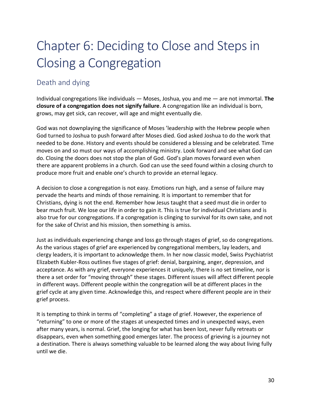# Chapter 6: Deciding to Close and Steps in Closing a Congregation

### Death and dying

Individual congregations like individuals — Moses, Joshua, you and me — are not immortal. **The closure of a congregation does not signify failure**. A congregation like an individual is born, grows, may get sick, can recover, will age and might eventually die.

God was not downplaying the significance of Moses 'leadership with the Hebrew people when God turned to Joshua to push forward after Moses died. God asked Joshua to do the work that needed to be done. History and events should be considered a blessing and be celebrated. Time moves on and so must our ways of accomplishing ministry. Look forward and see what God can do. Closing the doors does not stop the plan of God. God's plan moves forward even when there are apparent problems in a church. God can use the seed found within a closing church to produce more fruit and enable one's church to provide an eternal legacy.

A decision to close a congregation is not easy. Emotions run high, and a sense of failure may pervade the hearts and minds of those remaining. It is important to remember that for Christians, dying is not the end. Remember how Jesus taught that a seed must die in order to bear much fruit. We lose our life in order to gain it. This is true for individual Christians and is also true for our congregations. If a congregation is clinging to survival for its own sake, and not for the sake of Christ and his mission, then something is amiss.

Just as individuals experiencing change and loss go through stages of grief, so do congregations. As the various stages of grief are experienced by congregational members, lay leaders, and clergy leaders, it is important to acknowledge them. In her now classic model, Swiss Psychiatrist Elizabeth Kubler-Ross outlines five stages of grief: denial, bargaining, anger, depression, and acceptance. As with any grief, everyone experiences it uniquely, there is no set timeline, nor is there a set order for "moving through" these stages. Different issues will affect different people in different ways. Different people within the congregation will be at different places in the grief cycle at any given time. Acknowledge this, and respect where different people are in their grief process.

It is tempting to think in terms of "completing" a stage of grief. However, the experience of "returning" to one or more of the stages at unexpected times and in unexpected ways, even after many years, is normal. Grief, the longing for what has been lost, never fully retreats or disappears, even when something good emerges later. The process of grieving is a journey not a destination. There is always something valuable to be learned along the way about living fully until we die.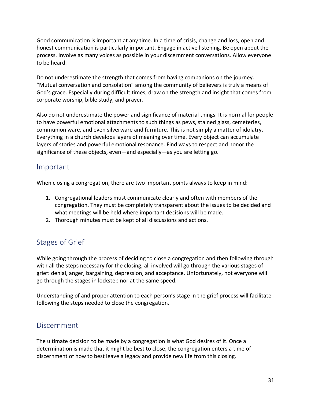Good communication is important at any time. In a time of crisis, change and loss, open and honest communication is particularly important. Engage in active listening. Be open about the process. Involve as many voices as possible in your discernment conversations. Allow everyone to be heard.

Do not underestimate the strength that comes from having companions on the journey. "Mutual conversation and consolation" among the community of believers is truly a means of God's grace. Especially during difficult times, draw on the strength and insight that comes from corporate worship, bible study, and prayer.

Also do not underestimate the power and significance of material things. It is normal for people to have powerful emotional attachments to such things as pews, stained glass, cemeteries, communion ware, and even silverware and furniture. This is not simply a matter of idolatry. Everything in a church develops layers of meaning over time. Every object can accumulate layers of stories and powerful emotional resonance. Find ways to respect and honor the significance of these objects, even—and especially—as you are letting go.

#### Important

When closing a congregation, there are two important points always to keep in mind:

- 1. Congregational leaders must communicate clearly and often with members of the congregation. They must be completely transparent about the issues to be decided and what meetings will be held where important decisions will be made.
- 2. Thorough minutes must be kept of all discussions and actions.

# Stages of Grief

While going through the process of deciding to close a congregation and then following through with all the steps necessary for the closing, all involved will go through the various stages of grief: denial, anger, bargaining, depression, and acceptance. Unfortunately, not everyone will go through the stages in lockstep nor at the same speed.

Understanding of and proper attention to each person's stage in the grief process will facilitate following the steps needed to close the congregation.

#### Discernment

The ultimate decision to be made by a congregation is what God desires of it. Once a determination is made that it might be best to close, the congregation enters a time of discernment of how to best leave a legacy and provide new life from this closing.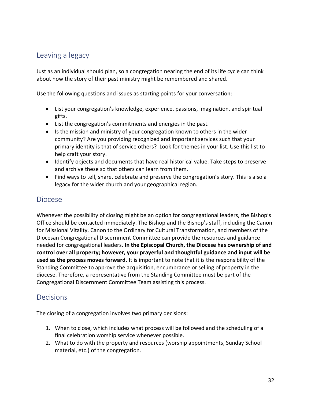### Leaving a legacy

Just as an individual should plan, so a congregation nearing the end of its life cycle can think about how the story of their past ministry might be remembered and shared.

Use the following questions and issues as starting points for your conversation:

- List your congregation's knowledge, experience, passions, imagination, and spiritual gifts.
- List the congregation's commitments and energies in the past.
- Is the mission and ministry of your congregation known to others in the wider community? Are you providing recognized and important services such that your primary identity is that of service others? Look for themes in your list. Use this list to help craft your story.
- Identify objects and documents that have real historical value. Take steps to preserve and archive these so that others can learn from them.
- Find ways to tell, share, celebrate and preserve the congregation's story. This is also a legacy for the wider church and your geographical region.

#### Diocese

Whenever the possibility of closing might be an option for congregational leaders, the Bishop's Office should be contacted immediately. The Bishop and the Bishop's staff, including the Canon for Missional Vitality, Canon to the Ordinary for Cultural Transformation, and members of the Diocesan Congregational Discernment Committee can provide the resources and guidance needed for congregational leaders. **In the Episcopal Church, the Diocese has ownership of and control over all property; however, your prayerful and thoughtful guidance and input will be used as the process moves forward.** It is important to note that it is the responsibility of the Standing Committee to approve the acquisition, encumbrance or selling of property in the diocese. Therefore, a representative from the Standing Committee must be part of the Congregational Discernment Committee Team assisting this process.

### Decisions

The closing of a congregation involves two primary decisions:

- 1. When to close, which includes what process will be followed and the scheduling of a final celebration worship service whenever possible.
- 2. What to do with the property and resources (worship appointments, Sunday School material, etc.) of the congregation.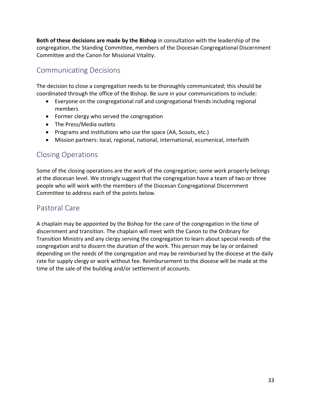**Both of these decisions are made by the Bishop** in consultation with the leadership of the congregation, the Standing Committee, members of the Diocesan Congregational Discernment Committee and the Canon for Missional Vitality.

# Communicating Decisions

The decision to close a congregation needs to be thoroughly communicated; this should be coordinated through the office of the Bishop. Be sure in your communications to include:

- Everyone on the congregational roll and congregational friends including regional members
- Former clergy who served the congregation
- The Press/Media outlets
- Programs and institutions who use the space (AA, Scouts, etc.)
- Mission partners: local, regional, national, international, ecumenical, interfaith

### Closing Operations

Some of the closing operations are the work of the congregation; some work properly belongs at the diocesan level. We strongly suggest that the congregation have a team of two or three people who will work with the members of the Diocesan Congregational Discernment Committee to address each of the points below.

#### Pastoral Care

A chaplain may be appointed by the Bishop for the care of the congregation in the time of discernment and transition. The chaplain will meet with the Canon to the Ordinary for Transition Ministry and any clergy serving the congregation to learn about special needs of the congregation and to discern the duration of the work. This person may be lay or ordained depending on the needs of the congregation and may be reimbursed by the diocese at the daily rate for supply clergy or work without fee. Reimbursement to the diocese will be made at the time of the sale of the building and/or settlement of accounts.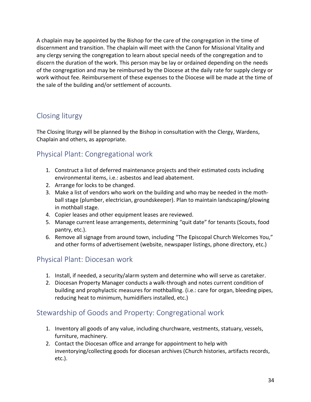A chaplain may be appointed by the Bishop for the care of the congregation in the time of discernment and transition. The chaplain will meet with the Canon for Missional Vitality and any clergy serving the congregation to learn about special needs of the congregation and to discern the duration of the work. This person may be lay or ordained depending on the needs of the congregation and may be reimbursed by the Diocese at the daily rate for supply clergy or work without fee. Reimbursement of these expenses to the Diocese will be made at the time of the sale of the building and/or settlement of accounts.

# Closing liturgy

The Closing liturgy will be planned by the Bishop in consultation with the Clergy, Wardens, Chaplain and others, as appropriate.

# Physical Plant: Congregational work

- 1. Construct a list of deferred maintenance projects and their estimated costs including environmental items, i.e.: asbestos and lead abatement.
- 2. Arrange for locks to be changed.
- 3. Make a list of vendors who work on the building and who may be needed in the moth‐ ball stage (plumber, electrician, groundskeeper). Plan to maintain landscaping/plowing in mothball stage.
- 4. Copier leases and other equipment leases are reviewed.
- 5. Manage current lease arrangements, determining "quit date" for tenants (Scouts, food pantry, etc.).
- 6. Remove all signage from around town, including "The Episcopal Church Welcomes You," and other forms of advertisement (website, newspaper listings, phone directory, etc.)

### Physical Plant: Diocesan work

- 1. Install, if needed, a security/alarm system and determine who will serve as caretaker.
- 2. Diocesan Property Manager conducts a walk‐through and notes current condition of building and prophylactic measures for mothballing. (i.e.: care for organ, bleeding pipes, reducing heat to minimum, humidifiers installed, etc.)

### Stewardship of Goods and Property: Congregational work

- 1. Inventory all goods of any value, including churchware, vestments, statuary, vessels, furniture, machinery.
- 2. Contact the Diocesan office and arrange for appointment to help with inventorying/collecting goods for diocesan archives (Church histories, artifacts records, etc.).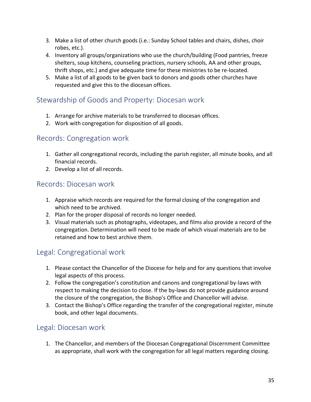- 3. Make a list of other church goods (i.e.: Sunday School tables and chairs, dishes, choir robes, etc.).
- 4. Inventory all groups/organizations who use the church/building (Food pantries, freeze shelters, soup kitchens, counseling practices, nursery schools, AA and other groups, thrift shops, etc.) and give adequate time for these ministries to be re‐located.
- 5. Make a list of all goods to be given back to donors and goods other churches have requested and give this to the diocesan offices.

### Stewardship of Goods and Property: Diocesan work

- 1. Arrange for archive materials to be transferred to diocesan offices.
- 2. Work with congregation for disposition of all goods.

#### Records: Congregation work

- 1. Gather all congregational records, including the parish register, all minute books, and all financial records.
- 2. Develop a list of all records.

### Records: Diocesan work

- 1. Appraise which records are required for the formal closing of the congregation and which need to be archived.
- 2. Plan for the proper disposal of records no longer needed.
- 3. Visual materials such as photographs, videotapes, and films also provide a record of the congregation. Determination will need to be made of which visual materials are to be retained and how to best archive them.

### Legal: Congregational work

- 1. Please contact the Chancellor of the Diocese for help and for any questions that involve legal aspects of this process.
- 2. Follow the congregation's constitution and canons and congregational by-laws with respect to making the decision to close. If the by-laws do not provide guidance around the closure of the congregation, the Bishop's Office and Chancellor will advise.
- 3. Contact the Bishop's Office regarding the transfer of the congregational register, minute book, and other legal documents.

### Legal: Diocesan work

1. The Chancellor, and members of the Diocesan Congregational Discernment Committee as appropriate, shall work with the congregation for all legal matters regarding closing.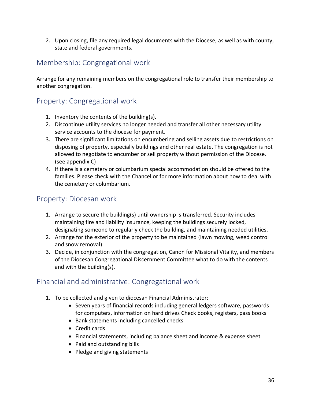2. Upon closing, file any required legal documents with the Diocese, as well as with county, state and federal governments.

### Membership: Congregational work

Arrange for any remaining members on the congregational role to transfer their membership to another congregation.

### Property: Congregational work

- 1. Inventory the contents of the building(s).
- 2. Discontinue utility services no longer needed and transfer all other necessary utility service accounts to the diocese for payment.
- 3. There are significant limitations on encumbering and selling assets due to restrictions on disposing of property, especially buildings and other real estate. The congregation is not allowed to negotiate to encumber or sell property without permission of the Diocese. (see appendix C)
- 4. If there is a cemetery or columbarium special accommodation should be offered to the families. Please check with the Chancellor for more information about how to deal with the cemetery or columbarium.

### Property: Diocesan work

- 1. Arrange to secure the building(s) until ownership is transferred. Security includes maintaining fire and liability insurance, keeping the buildings securely locked, designating someone to regularly check the building, and maintaining needed utilities.
- 2. Arrange for the exterior of the property to be maintained (lawn mowing, weed control and snow removal).
- 3. Decide, in conjunction with the congregation, Canon for Missional Vitality, and members of the Diocesan Congregational Discernment Committee what to do with the contents and with the building(s).

### Financial and administrative: Congregational work

- 1. To be collected and given to diocesan Financial Administrator:
	- Seven years of financial records including general ledgers software, passwords for computers, information on hard drives Check books, registers, pass books
	- Bank statements including cancelled checks
	- Credit cards
	- Financial statements, including balance sheet and income & expense sheet
	- Paid and outstanding bills
	- Pledge and giving statements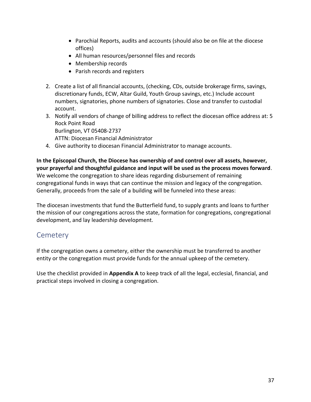- Parochial Reports, audits and accounts (should also be on file at the diocese offices)
- All human resources/personnel files and records
- Membership records
- Parish records and registers
- 2. Create a list of all financial accounts, (checking, CDs, outside brokerage firms, savings, discretionary funds, ECW, Altar Guild, Youth Group savings, etc.) Include account numbers, signatories, phone numbers of signatories. Close and transfer to custodial account.
- 3. Notify all vendors of change of billing address to reflect the diocesan office address at: 5 Rock Point Road Burlington, VT 05408-2737

ATTN: Diocesan Financial Administrator

4. Give authority to diocesan Financial Administrator to manage accounts.

**In the Episcopal Church, the Diocese has ownership of and control over all assets, however, your prayerful and thoughtful guidance and input will be used as the process moves forward**. We welcome the congregation to share ideas regarding disbursement of remaining congregational funds in ways that can continue the mission and legacy of the congregation. Generally, proceeds from the sale of a building will be funneled into these areas:

The diocesan investments that fund the Butterfield fund, to supply grants and loans to further the mission of our congregations across the state, formation for congregations, congregational development, and lay leadership development.

### **Cemetery**

If the congregation owns a cemetery, either the ownership must be transferred to another entity or the congregation must provide funds for the annual upkeep of the cemetery.

Use the checklist provided in **Appendix A** to keep track of all the legal, ecclesial, financial, and practical steps involved in closing a congregation.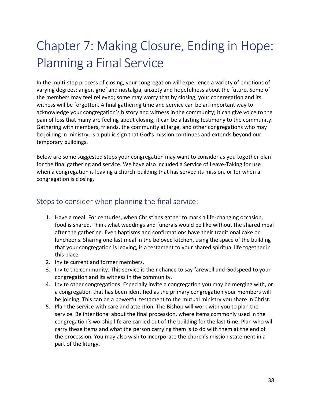# Chapter 7: Making Closure, Ending in Hope: Planning a Final Service

In the multi-step process of closing, your congregation will experience a variety of emotions of varying degrees: anger, grief and nostalgia, anxiety and hopefulness about the future. Some of the members may feel relieved; some may worry that by closing, your congregation and its witness will be forgotten. A final gathering time and service can be an important way to acknowledge your congregation's history and witness in the community; it can give voice to the pain of loss that many are feeling about closing; it can be a lasting testimony to the community. Gathering with members, friends, the community at large, and other congregations who may be joining in ministry, is a public sign that God's mission continues and extends beyond our temporary buildings.

Below are some suggested steps your congregation may want to consider as you together plan for the final gathering and service. We have also included a Service of Leave-Taking for use when a congregation is leaving a church-building that has served its mission, or for when a congregation is closing.

#### Steps to consider when planning the final service:

- 1. Have a meal. For centuries, when Christians gather to mark a life-changing occasion, food is shared. Think what weddings and funerals would be like without the shared meal after the gathering. Even baptisms and confirmations have their traditional cake or luncheons. Sharing one last meal in the beloved kitchen, using the space of the building that your congregation is leaving, is a testament to your shared spiritual life together in this place.
- 2. Invite current and former members.
- 3. Invite the community. This service is their chance to say farewell and Godspeed to your congregation and its witness in the community.
- 4. Invite other congregations. Especially invite a congregation you may be merging with, or a congregation that has been identified as the primary congregation your members will be joining. This can be a powerful testament to the mutual ministry you share in Christ.
- 5. Plan the service with care and attention. The Bishop will work with you to plan the service. Be intentional about the final procession, where items commonly used in the congregation's worship life are carried out of the building for the last time. Plan who will carry these items and what the person carrying them is to do with them at the end of the procession. You may also wish to incorporate the church's mission statement in a part of the liturgy.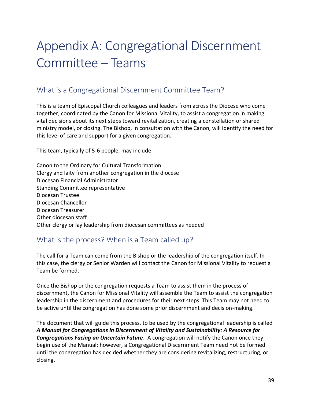# Appendix A: Congregational Discernment Committee – Teams

### What is a Congregational Discernment Committee Team?

This is a team of Episcopal Church colleagues and leaders from across the Diocese who come together, coordinated by the Canon for Missional Vitality, to assist a congregation in making vital decisions about its next steps toward revitalization, creating a constellation or shared ministry model, or closing. The Bishop, in consultation with the Canon, will identify the need for this level of care and support for a given congregation.

This team, typically of 5-6 people, may include:

Canon to the Ordinary for Cultural Transformation Clergy and laity from another congregation in the diocese Diocesan Financial Administrator Standing Committee representative Diocesan Trustee Diocesan Chancellor Diocesan Treasurer Other diocesan staff Other clergy or lay leadership from diocesan committees as needed

### What is the process? When is a Team called up?

The call for a Team can come from the Bishop or the leadership of the congregation itself. In this case, the clergy or Senior Warden will contact the Canon for Missional Vitality to request a Team be formed.

Once the Bishop or the congregation requests a Team to assist them in the process of discernment, the Canon for Missional Vitality will assemble the Team to assist the congregation leadership in the discernment and procedures for their next steps. This Team may not need to be active until the congregation has done some prior discernment and decision-making.

The document that will guide this process, to be used by the congregational leadership is called *A Manual for Congregations in Discernment of Vitality and Sustainability: A Resource for Congregations Facing an Uncertain Future*. A congregation will notify the Canon once they begin use of the Manual; however, a Congregational Discernment Team need not be formed until the congregation has decided whether they are considering revitalizing, restructuring, or closing.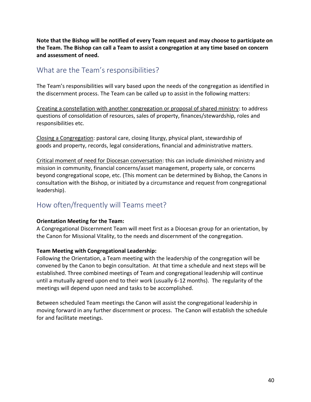**Note that the Bishop will be notified of every Team request and may choose to participate on the Team. The Bishop can call a Team to assist a congregation at any time based on concern and assessment of need.** 

#### What are the Team's responsibilities?

The Team's responsibilities will vary based upon the needs of the congregation as identified in the discernment process. The Team can be called up to assist in the following matters:

Creating a constellation with another congregation or proposal of shared ministry: to address questions of consolidation of resources, sales of property, finances/stewardship, roles and responsibilities etc.

Closing a Congregation: pastoral care, closing liturgy, physical plant, stewardship of goods and property, records, legal considerations, financial and administrative matters.

Critical moment of need for Diocesan conversation: this can include diminished ministry and mission in community, financial concerns/asset management, property sale, or concerns beyond congregational scope, etc. (This moment can be determined by Bishop, the Canons in consultation with the Bishop, or initiated by a circumstance and request from congregational leadership).

### How often/frequently will Teams meet?

#### **Orientation Meeting for the Team:**

A Congregational Discernment Team will meet first as a Diocesan group for an orientation, by the Canon for Missional Vitality, to the needs and discernment of the congregation.

#### **Team Meeting with Congregational Leadership:**

Following the Orientation, a Team meeting with the leadership of the congregation will be convened by the Canon to begin consultation. At that time a schedule and next steps will be established. Three combined meetings of Team and congregational leadership will continue until a mutually agreed upon end to their work (usually 6-12 months). The regularity of the meetings will depend upon need and tasks to be accomplished.

Between scheduled Team meetings the Canon will assist the congregational leadership in moving forward in any further discernment or process. The Canon will establish the schedule for and facilitate meetings.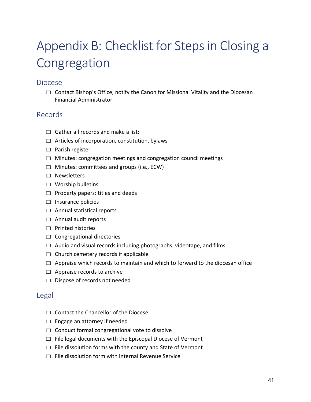# Appendix B: Checklist for Steps in Closing a Congregation

#### Diocese

 $\Box$  Contact Bishop's Office, notify the Canon for Missional Vitality and the Diocesan Financial Administrator

#### Records

- $\Box$  Gather all records and make a list:
- $\Box$  Articles of incorporation, constitution, bylaws
- ☐ Parish register
- $\Box$  Minutes: congregation meetings and congregation council meetings
- ☐ Minutes: committees and groups (i.e., ECW)
- ☐ Newsletters
- ☐ Worship bulletins
- $\Box$  Property papers: titles and deeds
- $\Box$  Insurance policies
- ☐ Annual statistical reports
- ☐ Annual audit reports
- ☐ Printed histories
- ☐ Congregational directories
- $\Box$  Audio and visual records including photographs, videotape, and films
- $\Box$  Church cemetery records if applicable
- $\Box$  Appraise which records to maintain and which to forward to the diocesan office
- $\Box$  Appraise records to archive
- ☐ Dispose of records not needed

#### Legal

- ☐ Contact the Chancellor of the Diocese
- □ Engage an attorney if needed
- $\Box$  Conduct formal congregational vote to dissolve
- □ File legal documents with the Episcopal Diocese of Vermont
- $\Box$  File dissolution forms with the county and State of Vermont
- $\nabla$  File dissolution form with Internal Revenue Service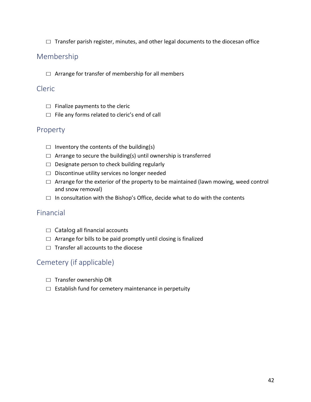$\Box$  Transfer parish register, minutes, and other legal documents to the diocesan office

#### Membership

 $\Box$  Arrange for transfer of membership for all members

#### Cleric

- $\Box$  Finalize payments to the cleric
- $\Box$  File any forms related to cleric's end of call

#### Property

- $\Box$  Inventory the contents of the building(s)
- $\Box$  Arrange to secure the building(s) until ownership is transferred
- ☐ Designate person to check building regularly
- ☐ Discontinue utility services no longer needed
- $\Box$  Arrange for the exterior of the property to be maintained (lawn mowing, weed control and snow removal)
- $\Box$  In consultation with the Bishop's Office, decide what to do with the contents

#### Financial

- $\Box$  Catalog all financial accounts
- $\Box$  Arrange for bills to be paid promptly until closing is finalized
- $\Box$  Transfer all accounts to the diocese

#### Cemetery (if applicable)

- ☐ Transfer ownership OR
- $\Box$  Establish fund for cemetery maintenance in perpetuity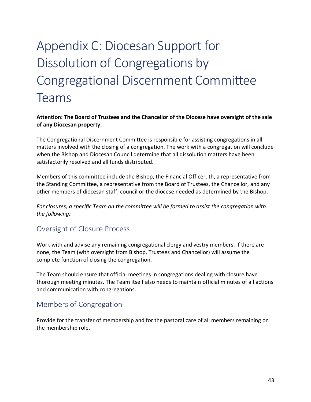# Appendix C: Diocesan Support for Dissolution of Congregations by Congregational Discernment Committee Teams

#### **Attention: The Board of Trustees and the Chancellor of the Diocese have oversight of the sale of any Diocesan property.**

The Congregational Discernment Committee is responsible for assisting congregations in all matters involved with the closing of a congregation. The work with a congregation will conclude when the Bishop and Diocesan Council determine that all dissolution matters have been satisfactorily resolved and all funds distributed.

Members of this committee include the Bishop, the Financial Officer, th, a representative from the Standing Committee, a representative from the Board of Trustees, the Chancellor, and any other members of diocesan staff, council or the diocese needed as determined by the Bishop.

*For closures, a specific Team on the committee will be formed to assist the congregation with the following:*

### Oversight of Closure Process

Work with and advise any remaining congregational clergy and vestry members. If there are none, the Team (with oversight from Bishop, Trustees and Chancellor) will assume the complete function of closing the congregation.

The Team should ensure that official meetings in congregations dealing with closure have thorough meeting minutes. The Team itself also needs to maintain official minutes of all actions and communication with congregations.

### Members of Congregation

Provide for the transfer of membership and for the pastoral care of all members remaining on the membership role.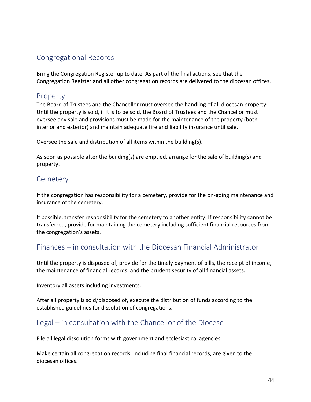### Congregational Records

Bring the Congregation Register up to date. As part of the final actions, see that the Congregation Register and all other congregation records are delivered to the diocesan offices.

#### Property

The Board of Trustees and the Chancellor must oversee the handling of all diocesan property: Until the property is sold, if it is to be sold, the Board of Trustees and the Chancellor must oversee any sale and provisions must be made for the maintenance of the property (both interior and exterior) and maintain adequate fire and liability insurance until sale.

Oversee the sale and distribution of all items within the building(s).

As soon as possible after the building(s) are emptied, arrange for the sale of building(s) and property.

#### **Cemetery**

If the congregation has responsibility for a cemetery, provide for the on-going maintenance and insurance of the cemetery.

If possible, transfer responsibility for the cemetery to another entity. If responsibility cannot be transferred, provide for maintaining the cemetery including sufficient financial resources from the congregation's assets.

### Finances – in consultation with the Diocesan Financial Administrator

Until the property is disposed of, provide for the timely payment of bills, the receipt of income, the maintenance of financial records, and the prudent security of all financial assets.

Inventory all assets including investments.

After all property is sold/disposed of, execute the distribution of funds according to the established guidelines for dissolution of congregations.

### Legal – in consultation with the Chancellor of the Diocese

File all legal dissolution forms with government and ecclesiastical agencies.

Make certain all congregation records, including final financial records, are given to the diocesan offices.